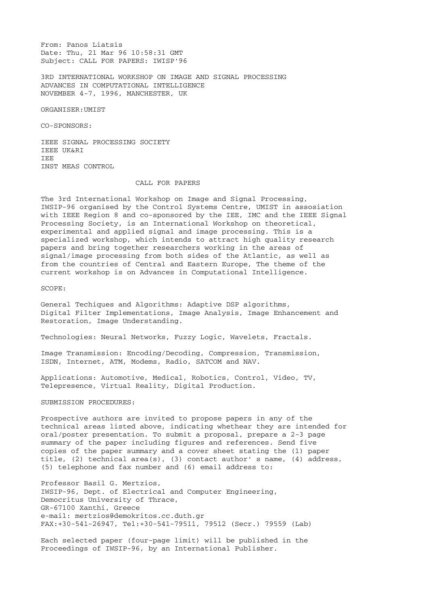From: Panos Liatsis Date: Thu, 21 Mar 96 10:58:31 GMT Subject: CALL FOR PAPERS: IWISP'96

3RD INTERNATIONAL WORKSHOP ON IMAGE AND SIGNAL PROCESSING ADVANCES IN COMPUTATIONAL INTELLIGENCE NOVEMBER 4-7, 1996, MANCHESTER, UK

ORGANISER:UMIST

CO-SPONSORS:

IEEE SIGNAL PROCESSING SOCIETY IEEE UK&RI IEE INST MEAS CONTROL

## CALL FOR PAPERS

The 3rd International Workshop on Image and Signal Processing, IWSIP-96 organised by the Control Systems Centre, UMIST in assosiation with IEEE Region 8 and co-sponsored by the IEE, IMC and the IEEE Signal Processing Society, is an International Workshop on theoretical, experimental and applied signal and image processing. This is a specialized workshop, which intends to attract high quality research papers and bring together researchers working in the areas of signal/image processing from both sides of the Atlantic, as well as from the countries of Central and Eastern Europe, The theme of the current workshop is on Advances in Computational Intelligence.

SCOPE:

General Techiques and Algorithms: Adaptive DSP algorithms, Digital Filter Implementations, Image Analysis, Image Enhancement and Restoration, Image Understanding.

Technologies: Neural Networks, Fuzzy Logic, Wavelets, Fractals.

Image Transmission: Encoding/Decoding, Compression, Transmission, ISDN, Internet, ATM, Modems, Radio, SATCOM and NAV.

Applications: Automotive, Medical, Robotics, Control, Video, TV, Telepresence, Virtual Reality, Digital Production.

SUBMISSION PROCEDURES:

Prospective authors are invited to propose papers in any of the technical areas listed above, indicating whethear they are intended for oral/poster presentation. To submit a proposal, prepare a 2-3 page summary of the paper including figures and references. Send five copies of the paper summary and a cover sheet stating the (1) paper title,  $(2)$  technical area(s),  $(3)$  contact author' s name,  $(4)$  address, (5) telephone and fax number and (6) email address to:

Professor Basil G. Mertzios, IWSIP-96, Dept. of Electrical and Computer Engineering, Democritus University of Thrace, GR-67100 Xanthi, Greece e-mail: mertzios@demokritos.cc.duth.gr FAX:+30-541-26947, Tel:+30-541-79511, 79512 (Secr.) 79559 (Lab)

Each selected paper (four-page limit) will be published in the Proceedings of IWSIP-96, by an International Publisher.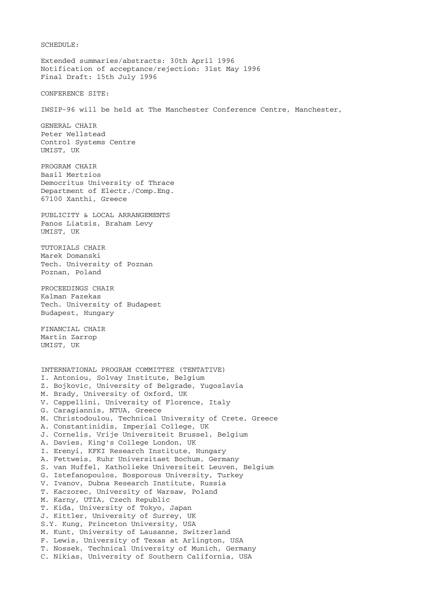Extended summaries/abstracts: 30th April 1996 Notification of acceptance/rejection: 31st May 1996 Final Draft: 15th July 1996 CONFERENCE SITE: IWSIP-96 will be held at The Manchester Conference Centre, Manchester, GENERAL CHAIR Peter Wellstead Control Systems Centre UMIST, UK PROGRAM CHAIR Basil Mertzios Democritus University of Thrace Department of Electr./Comp.Eng. 67100 Xanthi, Greece PUBLICITY & LOCAL ARRANGEMENTS Panos Liatsis, Braham Levy UMIST, UK TUTORIALS CHAIR Marek Domanski Tech. University of Poznan Poznan, Poland PROCEEDINGS CHAIR Kalman Fazekas Tech. University of Budapest Budapest, Hungary FINANCIAL CHAIR Martin Zarrop UMIST, UK INTERNATIONAL PROGRAM COMMITTEE (TENTATIVE) I. Antoniou, Solvay Institute, Belgium Z. Bojkovic, University of Belgrade, Yugoslavia M. Brady, University of Oxford, UK V. Cappellini, University of Florence, Italy G. Caragiannis, NTUA, Greece M. Christodoulou, Technical University of Crete, Greece A. Constantinidis, Imperial College, UK J. Cornelis, Vrije Universiteit Brussel, Belgium A. Davies, King's College London, UK I. Erenyi, KFKI Research Institute, Hungary A. Fettweis, Ruhr Universitaet Bochum, Germany S. van Huffel, Katholieke Universiteit Leuven, Belgium G. Istefanopoulos, Bosporous University, Turkey V. Ivanov, Dubna Research Institute, Russia T. Kaczorec, University of Warsaw, Poland M. Karny, UTIA, Czech Republic T. Kida, University of Tokyo, Japan J. Kittler, University of Surrey, UK S.Y. Kung, Princeton University, USA M. Kunt, University of Lausanne, Switzerland F. Lewis, University of Texas at Arlington, USA T. Nossek, Technical University of Munich, Germany C. Nikias, University of Southern California, USA

SCHEDULE: